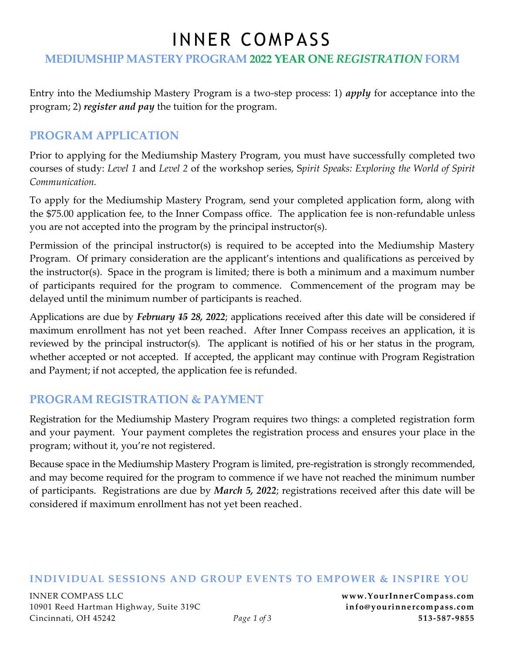# INNER COMPASS

#### **MEDIUMSHIP MASTERY PROGRAM 2022 YEAR ONE** *REGISTRATION* **FORM**

Entry into the Mediumship Mastery Program is a two-step process: 1) *apply* for acceptance into the program; 2) *register and pay* the tuition for the program.

#### **PROGRAM APPLICATION**

Prior to applying for the Mediumship Mastery Program, you must have successfully completed two courses of study: *Level 1* and *Level 2* of the workshop series, S*pirit Speaks: Exploring the World of Spirit Communication.* 

To apply for the Mediumship Mastery Program, send your completed application form, along with the \$75.00 application fee, to the Inner Compass office. The application fee is non-refundable unless you are not accepted into the program by the principal instructor(s).

Permission of the principal instructor(s) is required to be accepted into the Mediumship Mastery Program. Of primary consideration are the applicant's intentions and qualifications as perceived by the instructor(s). Space in the program is limited; there is both a minimum and a maximum number of participants required for the program to commence. Commencement of the program may be delayed until the minimum number of participants is reached.

Applications are due by *February 15 28, 2022*; applications received after this date will be considered if maximum enrollment has not yet been reached. After Inner Compass receives an application, it is reviewed by the principal instructor(s). The applicant is notified of his or her status in the program, whether accepted or not accepted. If accepted, the applicant may continue with Program Registration and Payment; if not accepted, the application fee is refunded.

### **PROGRAM REGISTRATION & PAYMENT**

Registration for the Mediumship Mastery Program requires two things: a completed registration form and your payment. Your payment completes the registration process and ensures your place in the program; without it, you're not registered.

Because space in the Mediumship Mastery Program is limited, pre-registration is strongly recommended, and may become required for the program to commence if we have not reached the minimum number of participants. Registrations are due by *March 5, 2022*; registrations received after this date will be considered if maximum enrollment has not yet been reached.

#### **INDIVIDUAL SESSIONS AND GROUP EVENTS TO EMPOWER & INSPIRE YOU**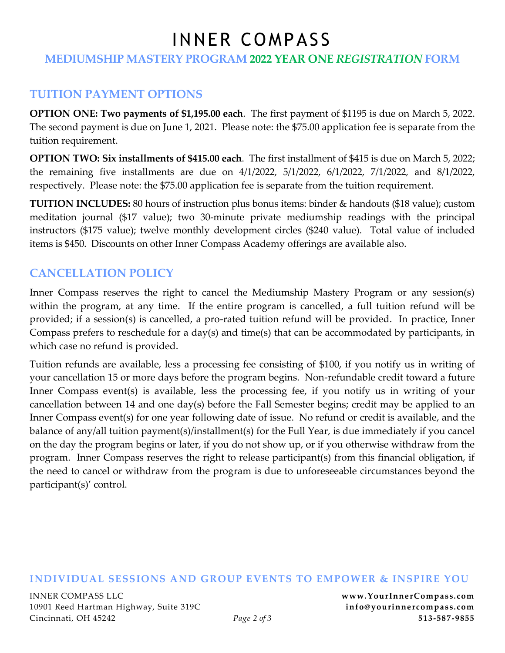# INNER COMPASS

#### **MEDIUMSHIP MASTERY PROGRAM 2022 YEAR ONE** *REGISTRATION* **FORM**

### **TUITION PAYMENT OPTIONS**

**OPTION ONE: Two payments of \$1,195.00 each**. The first payment of \$1195 is due on March 5, 2022. The second payment is due on June 1, 2021. Please note: the \$75.00 application fee is separate from the tuition requirement.

**OPTION TWO: Six installments of \$415.00 each**. The first installment of \$415 is due on March 5, 2022; the remaining five installments are due on 4/1/2022, 5/1/2022, 6/1/2022, 7/1/2022, and 8/1/2022, respectively. Please note: the \$75.00 application fee is separate from the tuition requirement.

**TUITION INCLUDES:** 80 hours of instruction plus bonus items: binder & handouts (\$18 value); custom meditation journal (\$17 value); two 30-minute private mediumship readings with the principal instructors (\$175 value); twelve monthly development circles (\$240 value). Total value of included items is \$450. Discounts on other Inner Compass Academy offerings are available also.

## **CANCELLATION POLICY**

Inner Compass reserves the right to cancel the Mediumship Mastery Program or any session(s) within the program, at any time. If the entire program is cancelled, a full tuition refund will be provided; if a session(s) is cancelled, a pro-rated tuition refund will be provided. In practice, Inner Compass prefers to reschedule for a day(s) and time(s) that can be accommodated by participants, in which case no refund is provided.

Tuition refunds are available, less a processing fee consisting of \$100, if you notify us in writing of your cancellation 15 or more days before the program begins. Non-refundable credit toward a future Inner Compass event(s) is available, less the processing fee, if you notify us in writing of your cancellation between 14 and one day(s) before the Fall Semester begins; credit may be applied to an Inner Compass event(s) for one year following date of issue. No refund or credit is available, and the balance of any/all tuition payment(s)/installment(s) for the Full Year, is due immediately if you cancel on the day the program begins or later, if you do not show up, or if you otherwise withdraw from the program. Inner Compass reserves the right to release participant(s) from this financial obligation, if the need to cancel or withdraw from the program is due to unforeseeable circumstances beyond the participant(s)' control.

#### **INDIVIDUAL SESSIONS AND GROUP EVENTS TO EMPOWER & INSPIRE YOU**